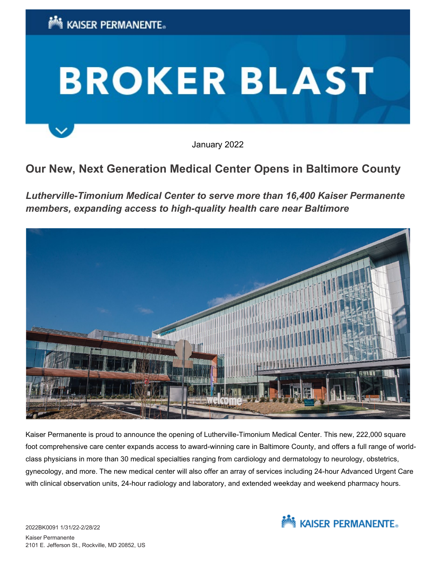

January 2022

## **Our New, Next Generation Medical Center Opens in Baltimore County**

*Lutherville-Timonium Medical Center to serve more than 16,400 Kaiser Permanente members, expanding access to high-quality health care near Baltimore*



Kaiser Permanente is proud to announce the opening of Lutherville-Timonium Medical Center. This new, 222,000 square foot comprehensive care center expands access to award-winning care in Baltimore County, and offers a full range of worldclass physicians in more than 30 medical specialties ranging from cardiology and dermatology to neurology, obstetrics, gynecology, and more. The new medical center will also offer an array of services including 24-hour Advanced Urgent Care with clinical observation units, 24-hour radiology and laboratory, and extended weekday and weekend pharmacy hours.